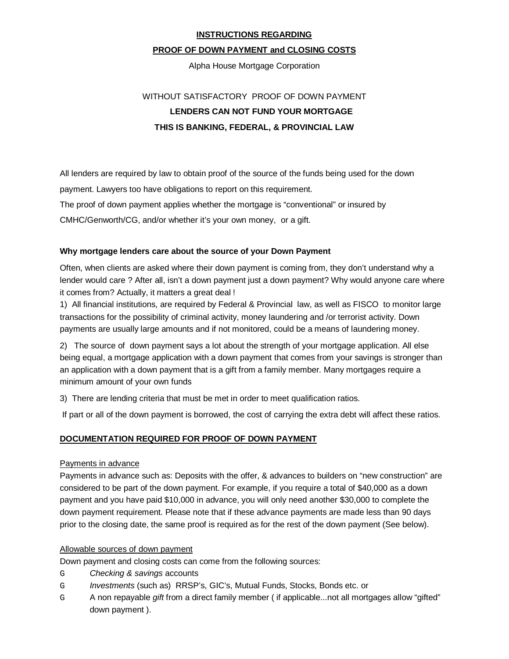### **INSTRUCTIONS REGARDING**

## **PROOF OF DOWN PAYMENT and CLOSING COSTS**

Alpha House Mortgage Corporation

# WITHOUT SATISFACTORY PROOF OF DOWN PAYMENT **LENDERS CAN NOT FUND YOUR MORTGAGE THIS IS BANKING, FEDERAL, & PROVINCIAL LAW**

All lenders are required by law to obtain proof of the source of the funds being used for the down payment. Lawyers too have obligations to report on this requirement. The proof of down payment applies whether the mortgage is "conventional" or insured by CMHC/Genworth/CG, and/or whether it's your own money, or a gift.

## **Why mortgage lenders care about the source of your Down Payment**

Often, when clients are asked where their down payment is coming from, they don't understand why a lender would care ? After all, isn't a down payment just a down payment? Why would anyone care where it comes from? Actually, it matters a great deal !

1) All financial institutions, are required by Federal & Provincial law, as well as FISCO to monitor large transactions for the possibility of criminal activity, money laundering and /or terrorist activity. Down payments are usually large amounts and if not monitored, could be a means of laundering money.

2) The source of down payment says a lot about the strength of your mortgage application. All else being equal, a mortgage application with a down payment that comes from your savings is stronger than an application with a down payment that is a gift from a family member. Many mortgages require a minimum amount of your own funds

3) There are lending criteria that must be met in order to meet qualification ratios.

If part or all of the down payment is borrowed, the cost of carrying the extra debt will affect these ratios.

## **DOCUMENTATION REQUIRED FOR PROOF OF DOWN PAYMENT**

### Payments in advance

Payments in advance such as: Deposits with the offer, & advances to builders on "new construction" are considered to be part of the down payment. For example, if you require a total of \$40,000 as a down payment and you have paid \$10,000 in advance, you will only need another \$30,000 to complete the down payment requirement. Please note that if these advance payments are made less than 90 days prior to the closing date, the same proof is required as for the rest of the down payment (See below).

### Allowable sources of down payment

Down payment and closing costs can come from the following sources:

- G *Checking & savings* accounts
- G *Investments* (such as) RRSP's, GIC's, Mutual Funds, Stocks, Bonds etc. or
- G A non repayable *gift* from a direct family member ( if applicable...not all mortgages allow "gifted" down payment ).